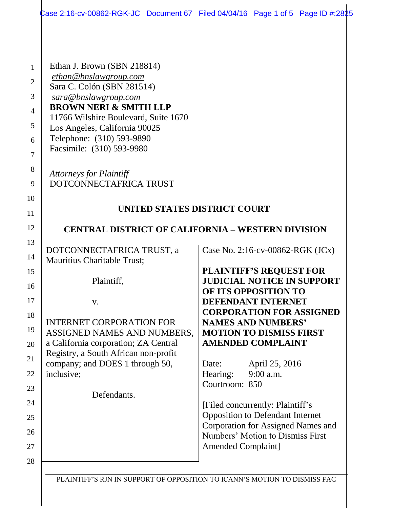| ‡ase 2:16-cv-00862-RGK-JC Document 67 Filed 04/04/16 Page 1 of 5 Page ID #:2825 |                                                                             |                           |  |
|---------------------------------------------------------------------------------|-----------------------------------------------------------------------------|---------------------------|--|
|                                                                                 |                                                                             |                           |  |
| Ethan J. Brown (SBN 218814)                                                     |                                                                             |                           |  |
| ethan@bnslawgroup.com                                                           |                                                                             |                           |  |
| Sara C. Colón (SBN 281514)<br>sara@bnslawgroup.com                              |                                                                             |                           |  |
| <b>BROWN NERI &amp; SMITH LLP</b>                                               |                                                                             |                           |  |
| 11766 Wilshire Boulevard, Suite 1670                                            |                                                                             |                           |  |
| Los Angeles, California 90025                                                   |                                                                             |                           |  |
| Telephone: (310) 593-9890<br>Facsimile: (310) 593-9980                          |                                                                             |                           |  |
|                                                                                 |                                                                             |                           |  |
| <b>Attorneys for Plaintiff</b>                                                  |                                                                             |                           |  |
| DOTCONNECTAFRICA TRUST                                                          |                                                                             |                           |  |
|                                                                                 |                                                                             |                           |  |
| UNITED STATES DISTRICT COURT                                                    |                                                                             |                           |  |
| <b>CENTRAL DISTRICT OF CALIFORNIA – WESTERN DIVISION</b>                        |                                                                             |                           |  |
|                                                                                 |                                                                             |                           |  |
| DOTCONNECTAFRICA TRUST, a<br>Mauritius Charitable Trust;                        | Case No. 2:16-cv-00862-RGK $(JCx)$                                          |                           |  |
|                                                                                 | <b>PLAINTIFF'S REQUEST FOR</b>                                              |                           |  |
| Plaintiff,                                                                      | <b>JUDICIAL NOTICE IN SUPPORT</b>                                           |                           |  |
|                                                                                 | OF ITS OPPOSITION TO<br><b>DEFENDANT INTERNET</b>                           |                           |  |
| V.                                                                              | <b>CORPORATION FOR ASSIGNED</b>                                             |                           |  |
| <b>INTERNET CORPORATION FOR</b>                                                 | <b>NAMES AND NUMBERS'</b>                                                   |                           |  |
| ASSIGNED NAMES AND NUMBERS,                                                     | <b>MOTION TO DISMISS FIRST</b>                                              |                           |  |
| a California corporation; ZA Central                                            | <b>AMENDED COMPLAINT</b>                                                    |                           |  |
| Registry, a South African non-profit<br>company; and DOES 1 through 50,         | Date:                                                                       | April 25, 2016            |  |
| inclusive;                                                                      | Hearing:                                                                    | 9:00 a.m.                 |  |
|                                                                                 | Courtroom: 850                                                              |                           |  |
| Defendants.                                                                     |                                                                             |                           |  |
|                                                                                 | [Filed concurrently: Plaintiff's<br><b>Opposition to Defendant Internet</b> |                           |  |
|                                                                                 | Corporation for Assigned Names and                                          |                           |  |
|                                                                                 | Numbers' Motion to Dismiss First                                            |                           |  |
|                                                                                 |                                                                             | <b>Amended Complaint]</b> |  |

 $\parallel$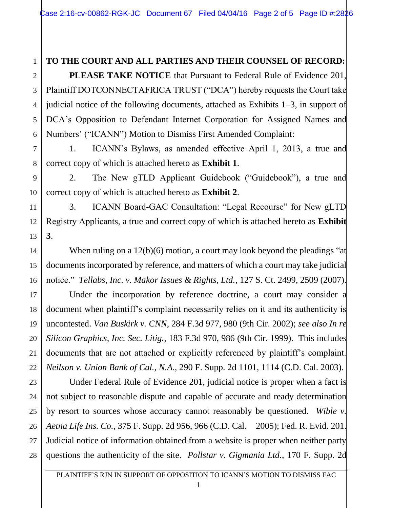### **TO THE COURT AND ALL PARTIES AND THEIR COUNSEL OF RECORD:**

1

2

3

4

5

6

7

8

9

10

11

12

13

14

15

16

17

18

19

20

21

22

23

24

25

26

27

28

**PLEASE TAKE NOTICE** that Pursuant to Federal Rule of Evidence 201, Plaintiff DOTCONNECTAFRICA TRUST ("DCA") hereby requests the Court take judicial notice of the following documents, attached as Exhibits 1–3, in support of DCA's Opposition to Defendant Internet Corporation for Assigned Names and Numbers' ("ICANN") Motion to Dismiss First Amended Complaint:

1. ICANN's Bylaws, as amended effective April 1, 2013, a true and correct copy of which is attached hereto as **Exhibit 1**.

2. The New gTLD Applicant Guidebook ("Guidebook"), a true and correct copy of which is attached hereto as **Exhibit 2**.

3. ICANN Board-GAC Consultation: "Legal Recourse" for New gLTD Registry Applicants, a true and correct copy of which is attached hereto as **Exhibit 3**.

When ruling on a 12(b)(6) motion, a court may look beyond the pleadings "at documents incorporated by reference, and matters of which a court may take judicial notice." *Tellabs, Inc. v. Makor Issues & Rights, Ltd.*, 127 S. Ct. 2499, 2509 (2007).

Under the incorporation by reference doctrine, a court may consider a document when plaintiff's complaint necessarily relies on it and its authenticity is uncontested. *Van Buskirk v. CNN,* 284 F.3d 977, 980 (9th Cir. 2002); *see also In re Silicon Graphics, Inc. Sec. Litig.,* 183 F.3d 970, 986 (9th Cir. 1999). This includes documents that are not attached or explicitly referenced by plaintiff's complaint. *Neilson v. Union Bank of Cal., N.A.*, 290 F. Supp. 2d 1101, 1114 (C.D. Cal. 2003).

Under Federal Rule of Evidence 201, judicial notice is proper when a fact is not subject to reasonable dispute and capable of accurate and ready determination by resort to sources whose accuracy cannot reasonably be questioned. *Wible v. Aetna Life Ins. Co.*, 375 F. Supp. 2d 956, 966 (C.D. Cal. 2005); Fed. R. Evid. 201. Judicial notice of information obtained from a website is proper when neither party questions the authenticity of the site. *Pollstar v. Gigmania Ltd.*, 170 F. Supp. 2d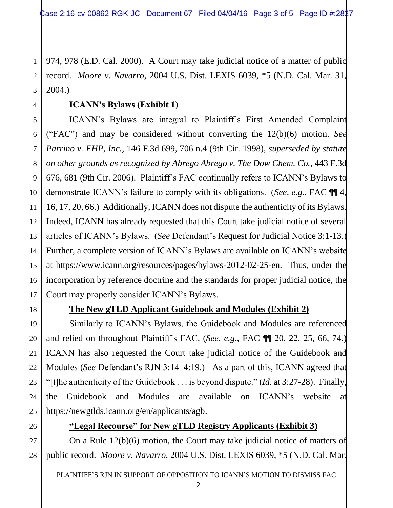1 2 3 974, 978 (E.D. Cal. 2000). A Court may take judicial notice of a matter of public record. *Moore v. Navarro,* 2004 U.S. Dist. LEXIS 6039, \*5 (N.D. Cal. Mar. 31, 2004.)

# **ICANN's Bylaws (Exhibit 1)**

6 10 12 13 14 15 16 ICANN's Bylaws are integral to Plaintiff's First Amended Complaint ("FAC") and may be considered without converting the 12(b)(6) motion. *See Parrino v. FHP, Inc.*, 146 F.3d 699, 706 n.4 (9th Cir. 1998), *superseded by statute on other grounds as recognized by Abrego Abrego v. The Dow Chem. Co.*, 443 F.3d 676, 681 (9th Cir. 2006). Plaintiff's FAC continually refers to ICANN's Bylaws to demonstrate ICANN's failure to comply with its obligations. (*See, e.g.*, FAC ¶¶ 4, 16, 17, 20, 66.) Additionally, ICANN does not dispute the authenticity of its Bylaws. Indeed, ICANN has already requested that this Court take judicial notice of several articles of ICANN's Bylaws. (*See* Defendant's Request for Judicial Notice 3:1-13.) Further, a complete version of ICANN's Bylaws are available on ICANN's website at https://www.icann.org/resources/pages/bylaws-2012-02-25-en. Thus, under the incorporation by reference doctrine and the standards for proper judicial notice, the Court may properly consider ICANN's Bylaws.

4

5

7

8

9

11

17

18

19

20

21

22

23

24

25

# **The New gTLD Applicant Guidebook and Modules (Exhibit 2)**

Similarly to ICANN's Bylaws, the Guidebook and Modules are referenced and relied on throughout Plaintiff's FAC. (*See, e.g.*, FAC ¶¶ 20, 22, 25, 66, 74.) ICANN has also requested the Court take judicial notice of the Guidebook and Modules (*See* Defendant's RJN 3:14–4:19.) As a part of this, ICANN agreed that "[t]he authenticity of the Guidebook . . . is beyond dispute." (*Id.* at 3:27-28). Finally, the Guidebook and Modules are available on ICANN's website at https://newgtlds.icann.org/en/applicants/agb.

26 27

## **"Legal Recourse" for New gTLD Registry Applicants (Exhibit 3)**

28 On a Rule 12(b)(6) motion, the Court may take judicial notice of matters of public record. *Moore v. Navarro,* 2004 U.S. Dist. LEXIS 6039, \*5 (N.D. Cal. Mar.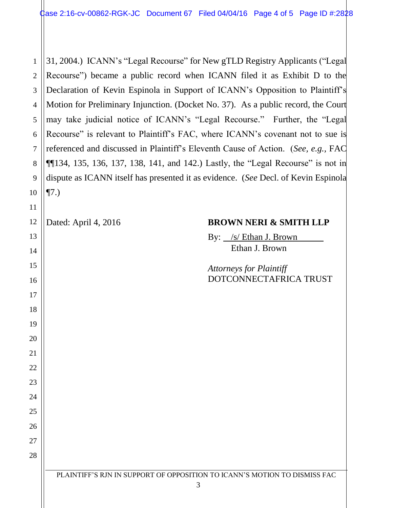31, 2004.) ICANN's "Legal Recourse" for New gTLD Registry Applicants ("Legal Recourse") became a public record when ICANN filed it as Exhibit D to the Declaration of Kevin Espinola in Support of ICANN's Opposition to Plaintiff's Motion for Preliminary Injunction. (Docket No. 37). As a public record, the Court may take judicial notice of ICANN's "Legal Recourse." Further, the "Legal Recourse" is relevant to Plaintiff's FAC, where ICANN's covenant not to sue is referenced and discussed in Plaintiff's Eleventh Cause of Action. (*See, e.g.,* FAC  $\P$ [134, 135, 136, 137, 138, 141, and 142.) Lastly, the "Legal Recourse" is not in dispute as ICANN itself has presented it as evidence. (*See* Decl. of Kevin Espinola ¶7.)

### Dated: April 4, 2016 **BROWN NERI & SMITH LLP**

By: /s/ Ethan J. Brown Ethan J. Brown

*Attorneys for Plaintiff* DOTCONNECTAFRICA TRUST